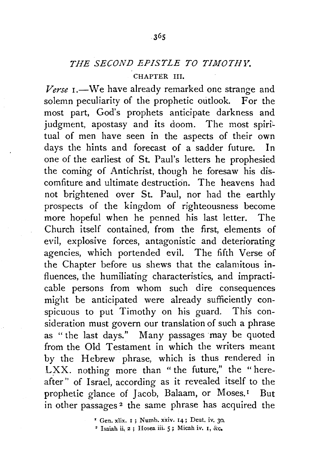## *THE SECOND EPISTLE TO TIMOTHY.*

## CHAPTER III.

Verse 1.-We have already remarked one strange and solemn peculiarity of the prophetic outlook. For the most part, God's prophets anticipate darkness and judgment, apostasy and its doom. The most spiritual of men have seen in the aspects of their own days the hints and forecast of a sadder future. In one of the earliest of St. Paul's letters he prophesied the coming of Antichrist, though he foresaw his discomfiture and ultimate destruction. The heavens had not brightened over St. Paul, nor had the earthly prospects of the kingdom of righteousness become more hopeful when he penned his last letter. The Church itself contained, from the first, elements of evil, explosive forces, antagonistic and deteriorating agencies, which portended evil. The fifth Verse of the Chapter before us shews that the calamitous influences, the humiliating characteristics, and impracticable persons from whom such dire consequences might be anticipated were already sufficiently conspicuous to put Timothy on his guard. This consideration must govern our translation of such a phrase as "the last days." Many passages ·may be quoted from the Old Testament in which the writers meant by the Hebrew phrase, which is thus rendered in LXX. nothing more than "the future," the "hereafter" of Israel, according as it revealed itself to the prophetic glance of Jacob, Balaam, or Moses.<sup>1</sup> But in other passages 2 the same phrase has acquired the

 $'$  Gen. xlix.  $I$ ; Numb. xxiv.  $I$ 4; Deut. iv. 30,

• Isaiah ii, 2 ; Hosea iii. 5; Micah iv. I, &c.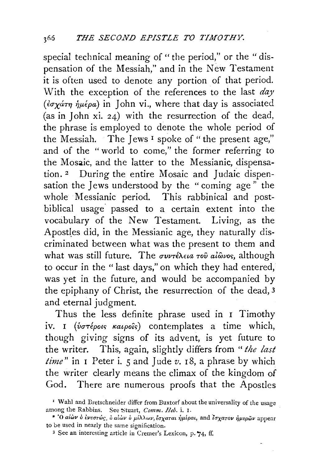special technical meaning of " the period," or the " dispensation of the Messiah," and in the New Testament it is often used to denote any portion of that period. With the exception of the references to the last *day*  ( $\epsilon \sigma \chi$ *atry in lohn vi., where that day is associated* (as in John xi. 24) with the resurrection of the dead, the phrase is employed to denote the whole period of the Messiah. The Jews<sup>1</sup> spoke of "the present age," and of the "world to come," the former referring to the Mosaic, and the latter to the Messianic, dispensation.<sup>2</sup> During the entire Mosaic and Judaic dispensation the Jews understood by the " coming age " the whole Messianic period. This rabbinical and postbiblical usage. passed to a certain extent into the vocabulary of the New Testament. Living, as the Apostles did, in the Messianic age, they naturally discriminated between what was the present to them and what was still future. The *συντέλεια του alωvos*, although to occur in the "last days," on which they had entered, was yet in the future, and would be accompanied by the epiphany of Christ, the resurrection of the dead, 3 and eternal judgment.

Thus the less definite phrase used in I Timothy iv. I *(vorépous katpoûs)* contemplates a time which, though giving signs of its advent, is yet future to the writer. This, again, slightly differs from " *the last time"* in I Peter i. 5 and J ude *v.* I 8, a phrase by which the writer clearly means the climax of the kingdom of God. There are numerous proofs that the Apostles

<sup>&#</sup>x27; Wahl and Bretschneider differ from Buxtorf about the universality of the usage among the Rabbins. See Stuart, *Comm. Heb.* i. I.

<sup>• &#</sup>x27;Ο αίὼν ὁ ἐνεστώς, ὁ αίὼν ὁ μέλλων, έσχαται ήμέραι, and έσχατον ήμερῶν appear to be used in nearly the same signification.

<sup>3</sup> See an interesting article in Cremer's Lexicon, p. '74, ff.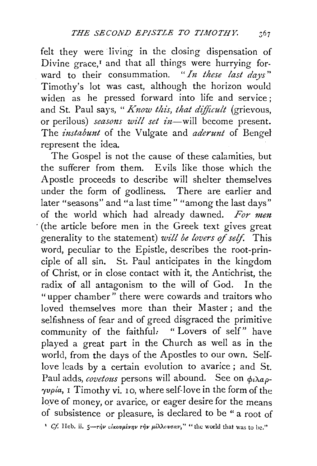felt they were living in the closing dispensation of Divine grace,<sup>I</sup> and that all things were hurrying forward to their consummation. *"In these last days"*  Timothy's lot was cast, although the horizon would widen as he pressed forward into life and service; and St. Paul says, " *Know this, that difficult* (grievous, or perilous) *seasons will set in*-will become present. The *instabunt* of the Vulgate and *aderunt* of Bengel represent the idea.

The Gospel is not the cause of these calamities, but the sufferer from them. Evils like those which the Apostle proceeds to describe will shelter themselves under the form of godliness. There are earlier and later "seasons" and "a last time" "among the last days" of the world which had already dawned. *For men*  (the article before men in the Greek text gives great generality to the statement) *will be lovers of self*. This word, peculiar to the Epistle, describes the root-principle of all sin. St. Paul anticipates in the kingdom of Christ, or in close contact with it, the Antichrist, the radix of all antagonism to the will of God. In the "upper chamber" there were cowards and traitors who loved themselves more than their Master; and the selfishness of fear and of greed disgraced the primitive community of the faithful: "Lovers of self" have played a great part in the Church as well as in the world, from the days of the Apostles to our own. Selflove leads by a certain evolution to avarice ; and St. Paul adds, *covetous* persons will abound. See on  $\phi_i \lambda a \rho$ - $\gamma v \rho i a$ , I Timothy vi. 10, where self-love in the form of the love of money, or avarice, or eager desire for the means of subsistence or pleasure, is declared to be " a root of

<sup>1</sup> *Cf.* Heb. ii.  $5\rightarrow r\dot{y}v$  circounting  $r\dot{y}v$   $\mu\dot{\lambda}\lambda\omega\sigma\sigma v$ ," " the world that was to be."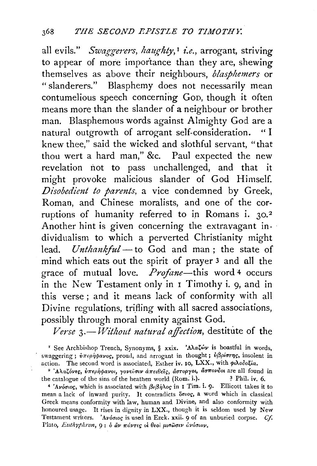all evils." Swaggerers, haughty,<sup>1</sup> *i.e.*, arrogant, striving to appear of more importance than they are, shewing themselves as above their neighbours, *blasphemers* or "slanderers." Blasphemy does not necessarily mean contumelious speech concerning GoD, though it often means more than the slander of a neighbour or brother man. Blasphemous words against Almighty God are a natural outgrowth of arrogant self-consideration. " I knew thee," said the wicked and slothful servant, "that thou wert a hard man," &c. Paul expected the new revelation not to pass unchallenged, and that it might provoke malicious slander of God Himself. *Disobedient to parents,* a vice condemned by Greek, Roman, and Chinese moralists, and one of the corruptions of humanity referred to in Romans i. 30.<sup>2</sup> Another hint is given concerning the extravagant individualism to which a perverted Christianity might lead. *Unthankful* - to God and man; the state of mind which eats out the spirit of prayer 3 and all the grace of mutual love. *Profane-this* word 4 occurs in the New Testament only in 1 Timothy i. 9, and in this verse; and it means lack of conformity with all Divine regulations, trifling with all sacred associations, possibly through moral enmity against God.

Verse 3.- Without natural affection, destitute of the

<sup>1</sup> See Archbishop Trench, Synonyms, § xxix. 'AlaZw' is boastful in words, swaggering;  $\dot{v}\pi\epsilon\rho\dot{\eta}\varphi a\nu o$ c, proud, and arrogant in thought;  $\dot{v}\beta\rho\dot{\sigma}\tau\eta$ c, insolent in action. The second word is associated, Esther iv. 10, LXX., with  $\phi\Lambda o \delta o \xi i a$ .

<sup>2</sup> 'Αλαζόνες, υπερήφανοι, γονεύσιν απειθείς, άστοργοι, άσπονδοι are all found in the catalogue of the sins of the heathen world  $(Rom. i.)$ .  $\frac{3}{7}$  Phil. iv. 6.

<sup>4</sup>'Aνόσιος, which is associated with βεβήλος in I Tim. i. 9. Ellicott takes it to mean a lack of inward purity. It contradicts onog, a word which in classical Greek means conformity with law, human and Divine, and also conformity with honoured usage. It rises in dignity in LXX., though it is seldom used by New Testament writers. 'Ανόσιος is used in Ezek. xxii. 9 of an unburied corpse. *Cf.* Plato, *Euthyphron*, 9: *b aν πάντες οι θεοι μιπωσιν ανόσιον*.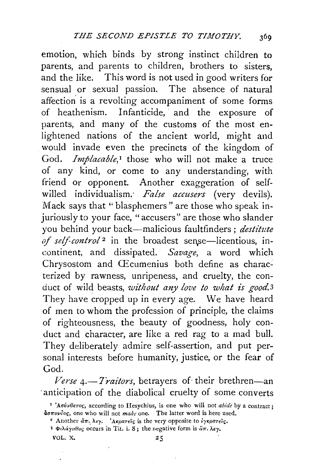emotion, which binds by strong instinct children to parents, and parents to children, brothers to sisters, and the like. This word is not used in good writers for sensual or sexual passion. The absence of natural affection is a revolting accompaniment of some forms of heathenism. Infanticide, and the exposure of parents, and many of the customs of the most enlightened nations of the ancient world, might and would invade even the precincts of the kingdom of God. *Implacable*,<sup>I</sup> those who will not make a truce of any kind, or come to any understanding, with friend or opponent. Another exaggeration of selfwilled individualism: *False accusers* (very devils). Mack says that "blasphemers" are those who speak injuriousiy to your face, "accusers" are those who slander you behind your back-malicious faultfinders; *destitute*  of self-control<sup>2</sup> in the broadest sense-licentious, incontinent, and dissipated. *Savage,* a word which Chrysostom and CEcumenius both define as characterized by rawness, unripeness, and cruelty, the conduct of wild beasts, *without any love to what is good.3*  They have cropped up in every age. We have heard of men to whom the profession of principle, the claims of righteousness, the beauty of goodness, holy conduct and character, are like a red rag to a mad bull. They deliberately admire self-assertion, and put personal interests before humanity, justice, or the fear of God.

Verse 4.-Traitors, betrayers of their brethren-an ·anticipation of the diabolical cruelty of some converts

VOL.  $X_2$   $25$ 

<sup>&</sup>lt;sup>1</sup>' Aσύνθετος, according to Hesychius, is one who will not *abide* by a contract;  $a$ <sup>o</sup> $\pi$ ovčoç, one who will not *make* one. The latter word is here used.

<sup>&</sup>lt;sup>2</sup> Another  $\tilde{a}\pi$ . *λεγ.* 'Aκρατείς is the very opposite to *iγκρατείς*.

<sup>&</sup>lt;sup>3</sup> Φιλάγαθος occurs in Tit. i. 8; the negative form is  $\ddot{u}\pi$ .  $\lambda \epsilon y$ .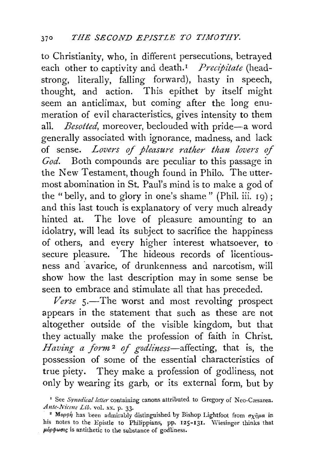to Christianity, who, in different persecutions, betrayed each other to captivity and death.<sup>1</sup> *Precipitate* (headstrong, literally, falling forward), hasty in speech, thought, and action. This epithet by itself might seem an anticlimax, but coming after the long enumeration of evil characteristics, gives intensity to them all. *Besotted*, moreover, beclouded with pride-a word generally associated with ignorance, madness, and lack of sense. Lovers of pleasure rather than lovers of *God.* Both compounds are peculiar to this passage in the New Testament, though found in Philo. The uttermost abomination in St. Paul's mind is to make a god of the "belly, and to glory in one's shame" (Phil. iii. 19); and this last touch is explanatory of very much already hinted at. The love of pleasure amounting to an idolatry, will lead its subject to sacrifice the happiness of others, and every higher interest whatsoever, to secure pleasure. 'The hideous records of licentiousness and ·avarice, of drunkenness and narcotism, will show how the last description may in some sense be seen to embrace and stimulate all that has preceded.

Verse 5.-The worst and most revolting prospect appears in the statement that such as these are not altogether outside of the visible kingdom, but that they actually make the profession of faith in Christ. *Having a form* 2 *of godliness-affecting,* that is, the possession of some of the essential characteristics of true piety. They make a profession of godliness, not only by wearing its garb, or its external form, but by

<sup>&</sup>lt;sup>1</sup> See Synodical letter containing canons attributed to Gregory of Neo-Cæsarea. *A nte-.Nicene Lib.* vol. xx. p. 33· 2 Moprp~ has been admirably distinguished by Bishop Lightfoot from *rrxiipa* in

his notes to the Epistle to Philippians, pp. 125-131. Wiesinger thinks that  $\mu$ óp $\phi$ woug is antithetic to the substance of godliness.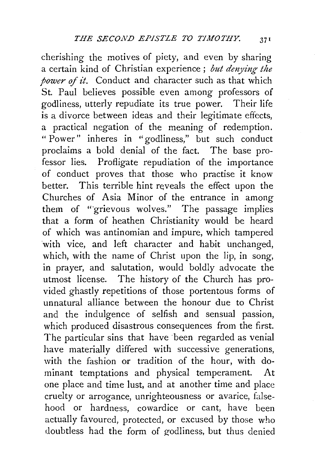cherishing the motives of piety, and even by sharing a certain kind of Christian experience ; *but denying the power of it.* Conduct and character such as that which St. Paul believes possible even among professors of godliness, utterly repudiate its true power. Their life is a divorce between ideas and their legitimate effects, a practical negation of the meaning of redemption. " Power" inheres in "godliness," but such conduct proclaims a bold denial of the fact. The base professor lies. Profligate repudiation of the importance of conduct proves that those who practise it know better. This terrible hint reveals the effect upon the Churches of Asia Minor of the entrance in among them of "grievous wolves." The passage implies that a form of heathen Christianity would be heard of which was antinomian and impure, which tampered with vice, and left character and habit unchanged, which, with the name of Christ upon the lip, in song, in prayer, and salutation, would boldly advocate the utmost license. The history of the Church has provided ghastly repetitions of those portentous forms of unnatural alliance between the honour due to Christ and the indulgence of selfish and sensual passion, which produced disastrous consequences from the first. The particular sins that have been regarded as venial have materially differed with successive generations, with the fashion or tradition of the hour, with dominant temptations and physical temperament. At one place and time lust, and at another time and place cruelty or arrogance, unrighteousness or avarice, falsehood or hardness, cowardice or cant, have been actually favoured, protected, or excused by those who doubtless had the form of godliness, but thus denied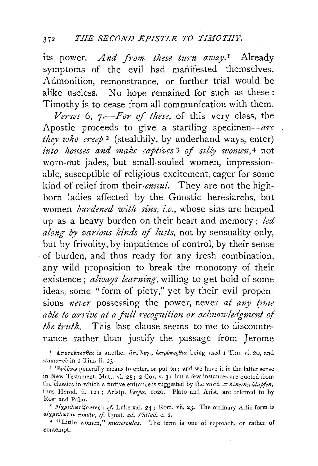its power. And from these turn away.<sup>1</sup> Already symptoms of the evil had manifested themselves. Admonition, remonstrance, or further trial would be alike useless. No hope remained for such as these : Timothy is to cease from all communication with them.

*Venes* 6, 7 *.-For of these,* of this very class, the Apostle proceeds to give a startling specimen-are *they who creep* 2 (stealthily, by underhand ways, enter) *-into houses and make captives* 3 *of silly women,* 4 not \vorn-out jades, but small-souled women, impressionable, susceptible of religious excitement, eager for some kind of relief from their *ennui.* They are not the highborn ladies affected by the Gnostic heresiarchs, but women *burdened with sins, i.e.,* whose sins are heaped up as a heavy burden on their heart and memory; *led along by various kinds of lusts,* not by sensuality only, but by frivolity, by impatience of control, by their sense of burden, and thus ready for any fresh combination, any wild proposition to break the monotony of their existence ; *always learning,* willing to get hold of some ideas, some "form of piety," yet by their evil propensions *never* possessing the power, never *at any time able to arrive at a full recognition or acknowledgment of the truth.* This last clause seems to me to discountenance rather than justify the passage from *]* erome

<sup>1</sup> *Aπorpέπεσθαι* is another  $\tilde{a}\pi_r \lambda_{\epsilon\gamma}$ , *εκτρέπεςθαι* being used 1 Tim. vi. 20, and *παραιτοῦ* in 2 Tim. ii. 23.<br><sup>2</sup> 'Εν*δύνω* generally means to enter, or put on; and we have it in the latter sense

in New Testament, Matt. vi. 25; 2 Cor. v. 3; but a few instances are quoted from the classics in which a furtive entrance is suggested by the word  $= hineinschlupten$ , thus Herod. ii. 121; Aristp. Vespa, 1020. Plato and Arist. are referred to by

Rost and Palm.<br><sup>3</sup> *Alχμαλωτίζοντες : cf.* Luke xxi. 24; Rom. vii. 23. The ordinary Attic form is *aix!laXwrov 7TOt€tv, cf.* !gnat. *ad. Phi!ad.* c. 2.

<sup>4</sup> "Little women," *mulierculas*. The term is one of reproach, or rather of contempt.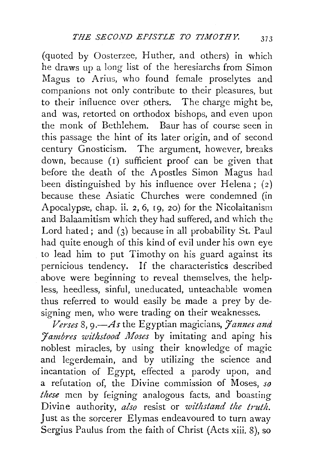(quoted by Oosterzee, Huther, and others) in which he draws up a long list of the heresiarchs from Simon Magus to Arius, who found female proselytes and companions not only contribute to their pleasures, but to their influence over others. The charge might be, and was, retorted on orthodox bishops, and even upon the monk of Bethlehem. Baur has of course seen in this passage the hint of its later origin, and of second century Gnosticism. The argument, however, breaks down, because (1) sufficient proof can be given that before the death of the Apostles Simon Magus had been distinguished by his influence over Helena;  $(2)$ because these Asiatic Churches were condemned (in Apocalypse, chap. ii. 2, 6, r9, 20) for the Nicolaitanism and Balaamitism which they had suffered, and which the Lord hated; and (3) because in all probability St. Paul had quite enough of this kind of evil under his own eye to lead him to put Timothy on his guard against its pernicious tendency. If the characteristics described above were beginning to reveal themselves, the helpless, heedless, sinful, uneducated, unteachable women thus referred to would easily be made a prey by designing men, who were trading on their weaknesses.

*Verses* 8, *9.-As* the Egyptian magicians, *Jannes and Jambres withstood Moses* by imitating and aping his noblest miracles, by using their knowledge of magic and legerdemain, and by utilizing the science and incantation of Egypt, effected a parody upon, and a refutation of, the Divine commission of Moses, *so these* men by feigning analogous facts, and boastiug Divine authority, *also* resist or *withstand the truth.*  Just as the sorcerer Elymas endeavoured to turn away Sergius Paulus from the faith of Christ (Acts xiii. 8), so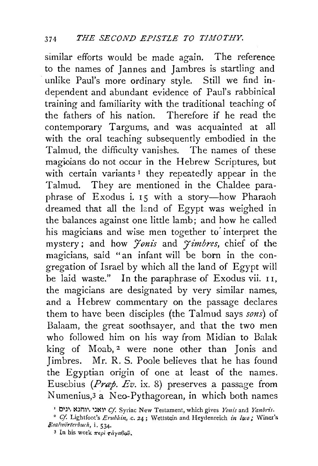similar efforts would be made again. The reference to the names of Jannes and Jambres is startling and unlike Paul's more ordinary style. Still we find independent and abundant evidence of Paul's rabbinical training and familiarity with the traditional teaching of the fathers of his nation. Therefore if he read the contemporary Targums, and was acquainted at all with the oral teaching subsequently embodied in the Talmud, the difficulty vanishes. The names of these magicians do not occur in the Hebrew Scriptures, but with certain variants<sup>1</sup> they repeatedly appear in the Talmud. They are mentioned in the Chaldee paraphrase of Exodus i. 15 with a story-how Pharaoh dreamed that all the land of Egypt was weighed in the balances against one little lamb; and how he called his magicians and wise men together to interpret the mystery; and how *Jonis* and *Jimbres*, chief of the magicians, said "an infant will be born in the congregation of Israel by which all the land of Egypt will be laid waste." In the paraphrase of Exodus vii. 11, the magicians are designated by very similar. names, and a Hebrew commentary on the passage declares them to have been disciples (the Talmud says *sons)* of Balaam, the great soothsayer, and that the two men who followed him on his way from Midian to Balak king of Moab,  $2$  were none other than Jonis and Jimbres. Mr. R. S. Poole believes that he has found the Egyptian origin of one at least of the names. Eusebius *(Prap. Ev.* ix. 8) preserves a passage from Numenius, $3$  a Neo-Pythagorean, in which both names

<sup>&#</sup>x27; 01)1, ~)nl\ )~~~ *Cf.* Syriac New Testament, which gives *Yonis* and *Yanbris.* 

<sup>&</sup>lt;sup>2</sup> Cf. Lightfoot's Erubhin, c. 24; Wettstein and Heydenreich in loco; Winer's *l?ea!wiJ"rterbuch,* i. 534·

<sup>~</sup> In his work 7r€pl *Taya8o.v.*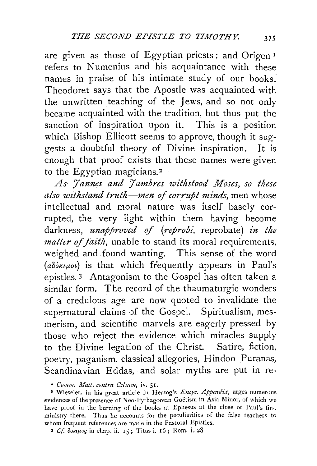are given as those of Egyptian priests; and Origen <sup>r</sup> refers to Numenius and his acquaintance with these names in praise of his intimate study of our books. Theodoret says that the Apostle was acquainted with the unwritten teaching of the Jews, and so not only became acquainted with the tradition, but thus put the sanction of inspiration upon it. This is a position which Bishop Ellicott seems to approve, though it *sug*gests a doubtful theory of Divine inspiration. It is enough that proof exists that these names were given to the Egyptian magicians.<sup>2</sup>

*As Jannes and Jambres withstood Moses, so these also withsta1zd truth-men* of *corrupt minds,* men whose intellectual and moral nature was itself basely corrupted, the very light within them having become darkness, *unapproved of (reprobi,* reprobate) *in the matter of faith,* unable to stand its moral requirements, weighed and found wanting. This sense of the word  $(a\delta\delta\kappa\mu\omega)$  is that which frequently appears in Paul's epistles. 3 Antagonism to the Gospel has often taken a similar form. The record of the thaumaturgic wonders of a credulous age are now quoted to invalidate the supernatural claims of the Gospel. Spiritualism, mesmerism, and scientific marvels are eagerly pressed by those who reject the evidence which miracles supply to the Divine legation of the Christ. Satire, fiction, poetry, paganism, classical allegories, Hindoo Puranas, Scandinavian Eddas, and solar myths are put in re-

I Comm. Matt. contra Celsum, *iv.* 51. • *• Comm. Matt. contra Celsum*, iv. 51. • *Proges numer-mus* evidences of the presence of Neo·Pythagorean Goetism in Asia Minor, of which we have proof in the burning of the books at Ephesus at the close of Paul's first ministry there. Thus he accounts for the peculiarities of the false teachers to whom frequent references are made in the Pastoral Epistles.

<sup>3</sup> *Cf co•qwr;* in chap. ii. 15; Titus i. r6; Ram. i. 28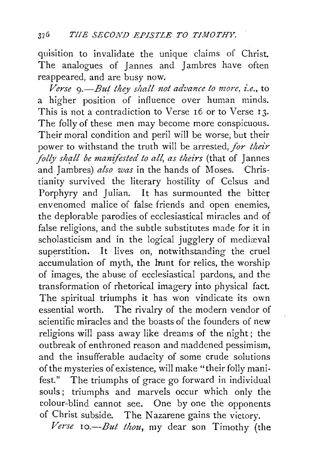quisition to invalidate the unique claims of Christ. The analogues of Jannes and Jambres have often reappeared, and are busy now.

*Verse 9.-But they shall not advance to more, i.e.,* to a higher position of influence over human minds. This is not a contradiction to Verse 16 or to Verse 13. The folly of these men may become more conspicuous. Their moral condition and peril will be worse, but their power to withstand the truth will be arrested, *for their folly shall be manifested to all, as theirs* (that of Jannes and Jambres) *also was* in the hands of Moses. Christianity survived the literary hostility of Celsus and Porphyry and Julian. It has surmounted the bitter envenomed malice of false friends and open enemies, the deplorable parodies of ecclesiastical miracles and of false religions, and the subtle substitutes made for it in scholasticism and in the logical jugglery of mediaval superstition. It lives on, notwithstanding the cruel accumulation of myth, the hunt for relics, the worship of images, the abuse of ecclesiastical pardons, and the transformation of rhetorical imagery into physical fact. The spiritual triumphs it has won vindicate its own essential worth. The rivalry of the modern vendor of scientific miracles and the boasts of the founders of new religions will pass away like dreams of the night; the outbreak of enthroned reason and maddened pessimism, and the insufferable audacity of some crude solutions of the mysteries of existence, will make "their folly manifest." The triumphs of grace go forward in individual souls; triumphs and marvels occur which only the colour-blind cannot see. One by one the opponents of Christ subside. The Nazarene gains the victory.

*Verse 10.-But thou,* my dear son Timothy (the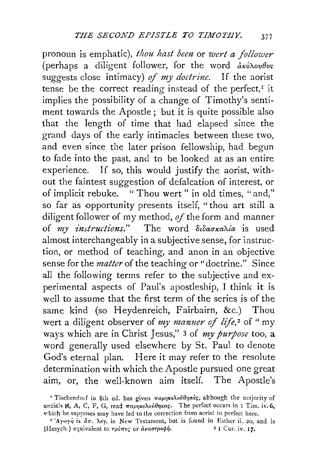pronoun is emphatic), *thou hast been* or *wert a follower* (perhaps a diligent follower, for the word  $\frac{\partial x}{\partial y}$ suggests close intimacy) *of my doctrine*. If the aorist tense be the correct reading instead of the perfect, $I$  it implies the possibility of a change of Timothy's sentiment towards the Apostle; but it is quite possible also that the length of time that had elapsed since the grand days of the early intimacies between these two, and even since the later prison fellowship, had begun to fade into the past, and to be looked at as an entire experience. If so, this would justify the aorist, without the faintest suggestion of defalcation of interest, or of implicit rebuke. " Thou wert" in old times, "and," so far as opportunity presents itself, "thou art still a diligent follower of my method, *of* the form and manner of *my instructions.*" The word διδασκαλία is used almost interchangeably in a subjective sense, for instruction, or method of teaching, and anon in an objective sense for the *matter* of the teaching or "doctrine." Since all the following terms refer to the subjective and experimental aspects of Paul's apostleship, I think it is well to assume that the first term of the series is of the same kind (so Heydenreich, Fairbairn, &c.) Thou wert a diligent observer of *my manner of life*,<sup>2</sup> of "my ways which are in Christ Jesus," 3 of *my purpose* too, a word generally used elsewhere by St. Paul to denote God's eternal plan. Here it may refer to the resolute determination with which the Apostle pursued one great aim, or, the well-known aim itself. The Apostle's

<sup>&#</sup>x27; Tischendorf in 8th ed. has given  $\pi a\rho\eta\kappa o\lambda o\vartheta\eta\sigma a\varsigma$ , although the majority of uncials N, A, C, F, G, read  $\pi a \rho \eta \kappa o \lambda o \psi \theta \eta \kappa a \varsigma$ . The perfect occurs in 1 Tim. iv. 6, which he supposes may have led to the correction from aorist to perfect here.

<sup>&</sup>lt;sup>2</sup>'Aywy*i* is  $\tilde{a}\pi$ .  $\lambda \epsilon \gamma$ . in New Testament, but is found in Esther ii. 20, and is (Hesych.) equivalent to *τρόπος* or *αναστροφή*. 3 1 Cor. iv. 17.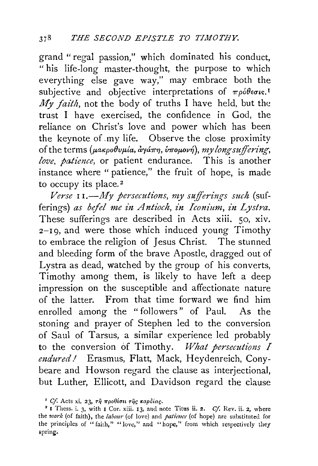grand "regal passion," which dominated his conduct, " his life-long master-thought, the purpose to which everything else gave way," may embrace both the subjective and objective interpretations of  $\pi \rho \delta \theta \epsilon \sigma \kappa$ <sup>1</sup> *My faith,* not the body of truths I have held, but the trust I have exercised, the confidence in God, the reliance on Christ's love and power which has been the keynote of .my life. Observe the close proximity of the terms (μακροθυμία, *αγάπη*, *υπομονή*), *my long suffering*, *love, patience,* or patient endurance. This is another instance where " patience," the fruit of hope, is made to occupy its place.<sup>2</sup>

*Verse* 11.-*My persecutions, my sufferings such* (sufferings) *as bejel me in Antioch, in Iconium, in Lystra.*  These sufferings are described in Acts xiii. 50, xiv. 2-19, and were those which induced young Timothy to embrace the religion of Jesus Christ. The stunned and bleeding form of the brave Apostle, dragged out of Lystra as dead, watched by the group of his converts, Timothy among them, is likely to have left a deep impression on the susceptible and affectionate nature of the latter. From that time forward we find him enrolled among the " followers" of Paul. As the stoning and prayer of Stephen led to the conversion of Saul of Tarsus, a similar experience led probably to the conversion of Timothy. *What persecutions I endured/* Erasmus, Flatt, Mack, Heydenreich, Conybeare and Howson regard the clause as interjectional, but Luther, Ellicott, and Davidson regard the clause

<sup>&</sup>lt;sup>1</sup> Cf. Acts xi. 23,  $\tau \tilde{\eta}$   $\pi \rho \theta$ *iotu*  $\tau \tilde{\eta}$ ç καρδίας.

<sup>2</sup> I Thess. i. 3, with I Cor. xiii. I3, and note Titus ii. 2. *Cf.* Rev. ii. 2, where the *work* (of faith), the *labour* (of love) and *patimce* (of hope) are substituted for the principles of "faith," "love," and "hope," from which respectively they spring.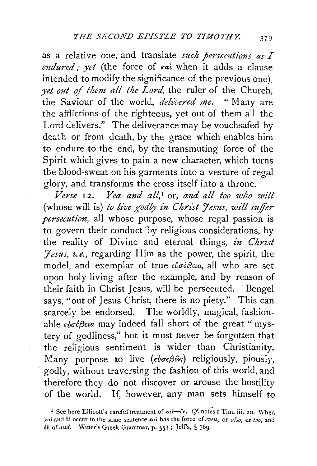as a relative one, and translate *such persecutions as I endured*; yet (the force of  $k$ a) when it adds a clause intended to modify the significance of the previous one), *yet out of them all the Lord,* the ruler of the Church, the Saviour of the world, *delivered me.* " Many are the afflictions of the righteous, yet out of them all the Lord delivers." The deliverance may be vouchsafed by death or from death, by the grace which enables him to endure to the end, by the transmuting force of the Spirit which gives to pain a new character, which turns the blood-sweat on his garments into a vesture of regal glory, and transforms the cross itself into a throne.

*Verse* I 2.-*Yea and all,* 1 or, *and all too who wilt*  (whose will is) to live godly in Christ Jesus, will suffer *persecution,* all whose purpose, whose regal passion is to govern their conduct by religious considerations, by the reality of Divine and eternal things, *in Christ Jesus, i.e.,* regarding Him as the power, the spirit, the model, and exemplar of true εὐσέβεια, all who are set upon holy living after the example, and by reason of their faith in Christ Jesus, will be persecuted. Bengel says, "out of Jesus Christ, there is no piety." This can scarcely be endorsed. The worldly, magical, fashionable  $\epsilon \omega \sigma \epsilon \beta \epsilon \iota a$  may indeed fall short of the great "mystery of godliness," but it must never be forgotten that the religious sentiment is wider than Christianity. Many purpose to live *(evoe Boos*) religiously, piously, godly, without traversing the fashion of this world, and therefore they do not discover or arouse the hostility of the world. If, however, any man sets himself to

<sup>&</sup>lt;sup>1</sup> See here Ellicott's careful treatment of  $\kappa a$ *i*- $\delta \epsilon$ . *Cf.* notes I Tim. iii. 10. When *xai* and  $\delta i$  occur in the same sentence  $\kappa a$  has the force of *even*, or *also*, or *too*, and  $\delta$ *i* of *and.* Winer's Greek Grammar, p. 553; Jelf's, § 769.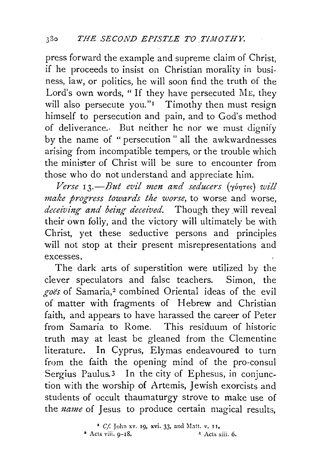press forward the example and supreme claim of Christ, if he proceeds to insist on Christian morality in business, law, or politics, he will soon find the truth of the Lord's own words, "If they have persecuted ME, they will also persecute you." $\blacksquare$  Timothy then must resign himself to persecution and pain, and to God's method of deliverance.· But neither he nor we must dignify by the name of "persecution" all the awkwardnesses arising from incompatible tempers, or the trouble which the minister of Christ will be sure to encounter from those who do not understand and appreciate him.

 $V$ erse 13.—But evil men and seducers ( $\gamma$ <sup>6</sup> $\eta$ <sup>Tes</sup>) *will make progress towards the worse,* to worse and worse, *deceiving and being deceived.* Though they will reveal their own folly, and the victory will ultimately be with Christ, yet these seductive persons and principles will not stop at their present misrepresentations and excesses.

The dark arts of superstition were utilized by the clever speculators and false teachers. Simon, the *goes* of Samaria,2 combined Oriental ideas of the evil of matter with fragments of Hebrew and Christian faith, and appears to have harassed the career of Peter from Samaria to Rome. This residuum of historic truth may at least be gleaned from the Clementine literature. In Cyprus, Elymas endeavoured to turn from the faith the opening mind of the pro-consul Sergius Paulus.3 In the city of Ephesus, in conjunction with the worship of Artemis, Jewish exorcists and students of occult thaumaturgy strove to make use of the *name* of Jesus to produce certain magical results,

> ' *Cf* John xv. 19, xvi. 33, and Matt. v. 11.  $\bullet$  Acts viii.  $9-18$ .  $\bullet$   $\bullet$  Acts xiii. 6.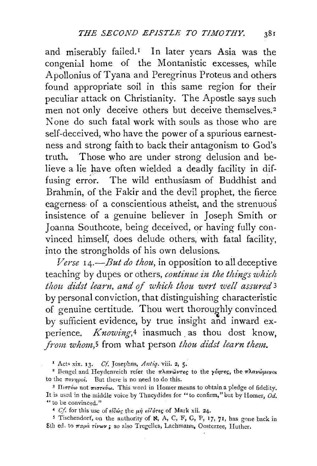and miserably failed.<sup>1</sup> In later years Asia was the congenial home of the Montanistic excesses, while Apollonius of Tyana and Peregrinus Proteus and others found appropriate soil in this same region for their peculiar attack on Christianity. The Apostle says such men not only deceive others but deceive themselves.<sup>2</sup> None do such fatal work with souls as those who are self-deceived, who have the power of a spurious earnestness and strong faith to back their antagonism to God's truth. Those who are under strong delusion and believe a lie have often wielded a deadly facility in diffusing error. The wild enthusiasm of Buddhist and Brahmin, of the Fakir and the devil prophet, the fierce eagerness· of a conscientious atheist, and the strenuous insistence of a genuine believer in Joseph Smith or Joanna Southcote, being deceived, or having fully convinced himself, does delude others, with fatal facility, into the strongholds of his own delusions.

*Verse 14.-But do thou,* in opposition to all deceptive teaching by dupes or others, *continue in the things which*  thou didst learn, and of which thou wert well assured<sup>3</sup> by personal conviction, that distinguishing characteristic of genuine certitude. Thou wert thoroughly convinced by sufficient evidence, by true insight and inward experience. *Knowing*,<sup>4</sup> inasmuch as thou dost know, *from whom*,<sup>5</sup> from what person *thou didst learn them.* 

<sup>4</sup> *Cf*. for this use of  $\epsilon i \delta \omega \zeta$  the  $\mu \eta$   $\epsilon i \delta \delta \tau \epsilon \zeta$  of Mark xii. 24.

<sup>5</sup> Tischendorf, on the authority of  $\aleph$ , A, C, F, G, P, 17, 71, has gone back in 8th ed. to παρά τίνων; so also Tregelles, Lachmann, Oosterzee, Huther.

<sup>&</sup>lt;sup>1</sup> Acts xix. 13. *Cf.* Josephus, *Antiq.* viii. 2, 5.<br><sup>2</sup> Bengel and Heydenreich refer the πλανώντες to the γύητες, the πλανώμενοι to the  $\pi$ ovnpoi. But there is no need to do this.

<sup>&</sup>lt;sup>3</sup> Πιστόω not πιστεύω. This word in Homer means to obtain a pledge of fidelity. It is used in the middle voice by Thucydides for "to confirm," but by Homer,  $0d$ . " **to be convinced."**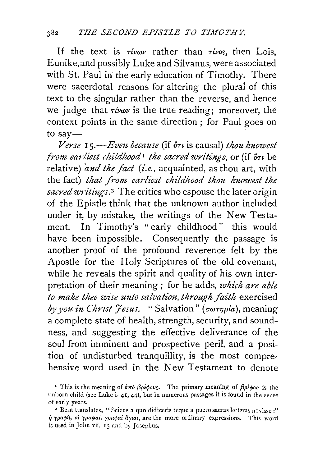If the text is  $\tau\ell\nu\omega\nu$  rather than  $\tau\ell\nu\omega s$ , then Lois, Eunike, and possibly Luke and Silvanus, were associated with St. Paul in the early education of Timothy. There were sacerdotal reasons for altering the plural of this text to the singular rather than the reverse, and hence we judge that  $\tau/\nu\omega\nu$  is the true reading; moreover, the context points in the same direction ; for Paul goes on to  $sav-$ 

 $Verse$  **15.**—*Even because* (if  $\delta\tau\iota$  is causal) *thou knowest from earliest childhood*<sup>1</sup> *the sacred writings, or (if*  $\delta_{\tau}$  *be* relative) *and the fact (i.e.*, acquainted, as thou art, with the fact) *that from earliest childhood thou knowest the* sacred writings.<sup>2</sup> The critics who espouse the later origin of the Epistle think that the unknown author included under it, by mistake, the writings of the New Testament. In Timothy's "early childhood" this would have been impossible. Consequently the passage is another proof of the profound reverence felt by the Apostle for the Holy Scriptures of the old covenant, while he reveals the spirit and quality of his own interpretation of their meaning ; for he adds, *which are able to make thee wise unto salvation, through faith* exercised *by you in Christ 'γesus.* "Salvation" *(cωτηρία)*, meaning a complete state of health, strength, security, and soundness, and suggesting the effective deliverance of the soul from imminent and prospective peril, and a position of undisturbed tranquillity, is the most comprehensive word used in the New Testament to denote

<sup>&</sup>lt;sup>1</sup> This is the meaning of  $d\pi\delta$   $\beta \rho \neq \rho \nu$ . The primary meaning of  $\beta \rho \neq \rho \rho \rho$  is the unborn child (see Luke i.  $41$ ,  $44$ ), but in numerous passages it is found in the sense of early years.<br>2 Beza translates, "Sciens a quo didiceris teque a puero sacras letteras novisse :"

 $\dot{\eta}$  γραφή, αί γραφαί, γραφαί ἄγιαι, are the more ordinary expressions. This word is used in John vii. 15 and by Josephus.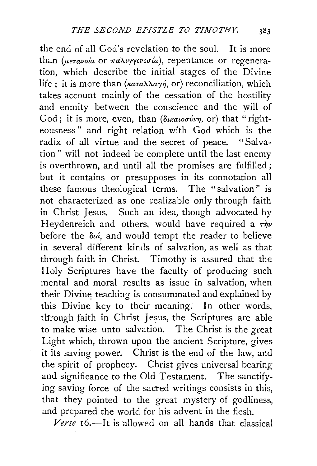the end of all God's revelation to the soul. It is more than *(μετανοία* or παλιγγενεσία), repentance or regeneration, which describe the initial stages of the Divine life ; it is more than *(καταλλαγή*, or) reconciliation, which takes account mainly of the cessation of the hostility and enmity between the conscience and the will of God; it is more, even, than *(δικαιοσύνη*, or) that "righteousness" and right relation with God which is the radix of all virtue and the secret of peace. "Salvation" will not indeed be complete until the last enemy is overthrown, and until all the promises are fulfilled; but it contains or presupposes in its connotation all these famous theological terms. The "salvation" is not characterized as one realizable only through faith in Christ Jesus. Such an idea, though advocated by Heydenreich and others, would have required a  $\tau \dot{m}$ before the  $\delta u$ , and would tempt the reader to believe in several different kinds of salvation, as well as that through faith in Christ. Timothy is assured that the Holy Scriptures have the faculty of producing such mental and moral results as issue in salvation, when their Divine teaching is consummated and explained by this Divine key to their meaning. In other words, tHrough faith in Christ Jesus, the Scriptures are able to make wise unto salvation. The Christ is the great Light which, thrown upon the ancient Scripture, gives it its saving power. Christ is the end of the law, and the spirit of prophecy. Christ gives universal bearing and significance to the Old Testament. The sanctifying saving force of the sacred writings consists in this, that they pointed to the great mystery of godliness, and prepared the world for his advent in the flesh.

Verse 16.-It is allowed on all hands that classical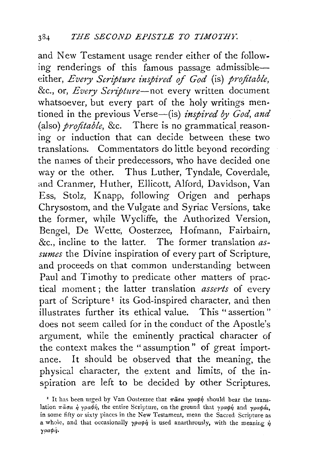and New Testament usage render either of the following renderings of this famous passage admissibleeither, *Every Scripture inspired* of *God* (is) *profitable,*  &c., or, *Every Scripture-not* every written document whatsoever, but every part of the holy writings mentioned in the previous Verse-(is) *inspired by God, and* (also) *profitable*, &c. There is no grammatical reasoning or induction that can decide between these two translations. Commentators do little beyond recording the names of their predecessors, who have decided one way or the other. Thus Luther, Tyndale, Coverdale, and Cranmer, Huther, Ellicott, Alford, Davidson, Van Ess, Stolz, Knapp, following Origen and perhaps Chrysostom, and the Vulgate and Syriac Versions, take the former, while Wycliffe, the Authorized Version, Bengel, De Wette, Oosterzee, Hofmann, Fairbairn, &c., incline to the latter. The former translation *assumes* the Divine inspiration of every part of Scripture, and proceeds on that common understanding between Paul and Timothy to predicate other matters of practical moment ; the latter translation *asserts* of every part of Scripture<sup>1</sup> its God-inspired character, and then illustrates further its ethical value. This "assertion" does not seem called for in the conduct of the Apostle's argument, while the eminently practical character of the context makes the "assumption" of great importance. It should be observed that the meaning, the physical character, the extent and limits, of the inspiration are left to be decided by other Scriptures.

<sup>&</sup>lt;sup>I</sup> It has been urged by Van Oosterzee that  $\pi \tilde{a} \sigma a$  rparph should bear the translation  $\pi \tilde{a} \sigma a$   $\dot{\eta}$  ypa $\phi \dot{\eta}$ , the entire Scripture, on the ground that ypapi and ypapa, in some fifty or sixty piaces in the New Testament, mean the Sacred Scripture as a whole, and that occasionally  $\gamma \rho a \phi \eta$  is used anarthrously, with the meaning  $\eta$ yoa¢n.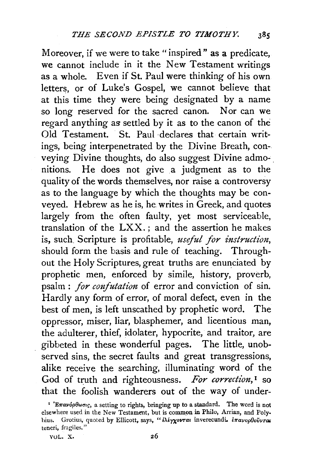Moreover, if we were to take "inspired" as a predicate, we cannot include in it the New Testament writings as a whole. Even if St. Paul were thinking of his own letters, or of Luke's Gospel, we cannot believe that at this time they were being designated by a name so long reserved for the sacred canon. Nor can we regard anything as settled by it as to the canon of the Old Testament. St. Paul declares that certain writings, being interpenetrated by the Divine Breath, conveying Divine thoughts, do also suggest Divine admo- . nitions. He does not give a judgment as to the quality of the words themselves, nor raise a controversy as to the language by which the thoughts may be conveyed. Hebrew as he is, he. writes in Greek, and quotes largely from the often faulty, yet most serviceable, translation of the LXX. ; and the assertion he makes is, such. Scripture is profitable, *useful for instruction,*  should form the basis and rule of teaching. Throughout the Holy Scriptures, great truths are enunciated by prophetic men, enforced by simile, history, proverb, psalm : *for confutation* of error and conviction of sin. Hardly any form of error, of moral defect, even in the best of men, is left unscathed by prophetic word. The oppressor, miser, liar, blasphemer, and licentious man, the adulterer, thief, idolater, hypocrite, and traitor, are gibbeted in these wonderful pages. The little, unobserved sins, the secret faults and great transgressions, alike receive the searching, illuminating word of the God of truth and righteousness. For correction,<sup>1</sup> so that the foolish wanderers out of the way of under-

<sup>&</sup>lt;sup>1</sup> 'Επανόρθωσις, a setting to rights, bringing up to a standard. The word is not elsewhere used in the New Testament, but is common in Philo, Arrian, and Poly· hius. Grotius, quoted by Ellicott, says, "aleyxovrai inverecundi. *lnavopOovvra*r **teneri,** fragiles."

VOL. X.